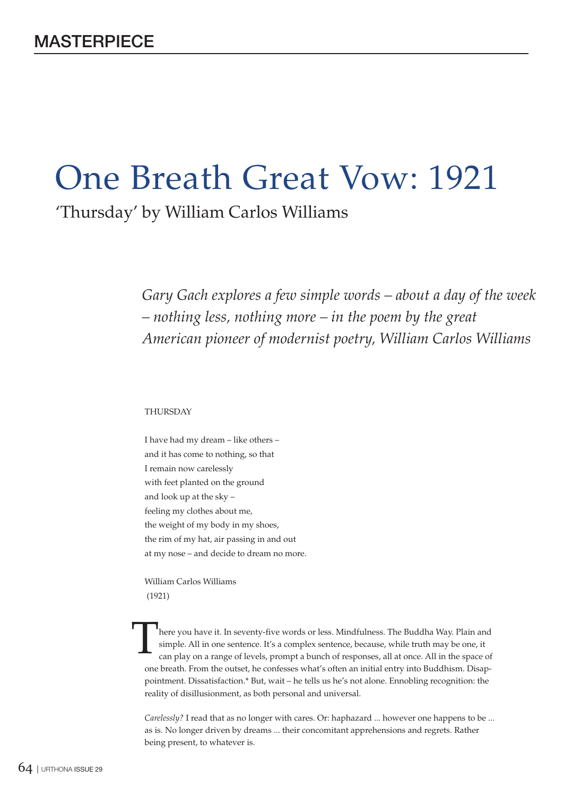# One Breath Great Vow: 1921

'Thursday' by William Carlos Williams

*Gary Gach explores a few simple words – about a day of the week – nothing less, nothing more – in the poem by the great American pioneer of modernist poetry, William Carlos Williams*

## THURSDAY

I have had my dream – like others – and it has come to nothing, so that I remain now carelessly with feet planted on the ground and look up at the sky – feeling my clothes about me, the weight of my body in my shoes, the rim of my hat, air passing in and out at my nose – and decide to dream no more.

William Carlos Williams (1921)

here you have it. In seventy-five words or less. Mindfulness. The Buddha Way. Plain and simple. All in one sentence. It's a complex sentence, because, while truth may be one, it can play on a range of levels, prompt a bunch of responses, all at once. All in the space of one breath. From the outset, he confesses what's often an initial entry into Buddhism. Disappointment. Dissatisfaction.\* But, wait – he tells us he's not alone. Ennobling recognition: the reality of disillusionment, as both personal and universal. T

*Carelessly?* I read that as no longer with cares. Or: haphazard ... however one happens to be ... as is. No longer driven by dreams ... their concomitant apprehensions and regrets. Rather being present, to whatever is.